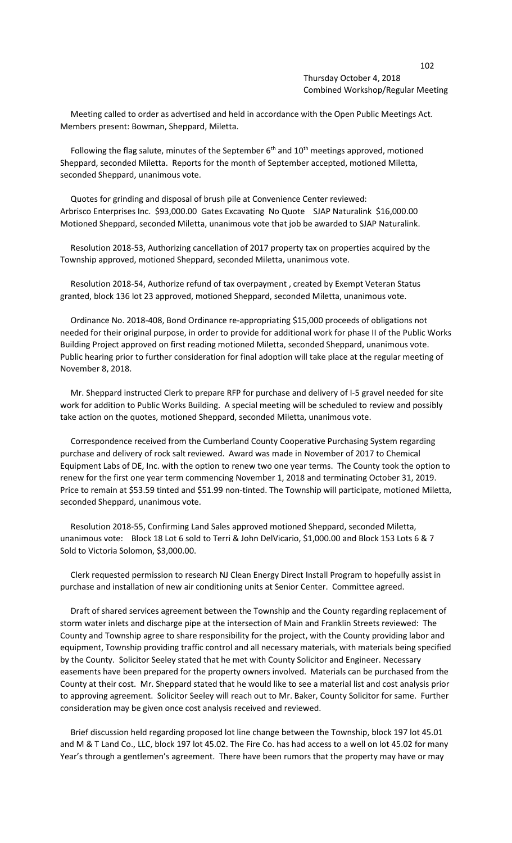## 102 Thursday October 4, 2018 Combined Workshop/Regular Meeting

 Meeting called to order as advertised and held in accordance with the Open Public Meetings Act. Members present: Bowman, Sheppard, Miletta.

Following the flag salute, minutes of the September  $6<sup>th</sup>$  and  $10<sup>th</sup>$  meetings approved, motioned Sheppard, seconded Miletta. Reports for the month of September accepted, motioned Miletta, seconded Sheppard, unanimous vote.

 Quotes for grinding and disposal of brush pile at Convenience Center reviewed: Arbrisco Enterprises Inc. \$93,000.00 Gates Excavating No Quote SJAP Naturalink \$16,000.00 Motioned Sheppard, seconded Miletta, unanimous vote that job be awarded to SJAP Naturalink.

 Resolution 2018-53, Authorizing cancellation of 2017 property tax on properties acquired by the Township approved, motioned Sheppard, seconded Miletta, unanimous vote.

 Resolution 2018-54, Authorize refund of tax overpayment , created by Exempt Veteran Status granted, block 136 lot 23 approved, motioned Sheppard, seconded Miletta, unanimous vote.

 Ordinance No. 2018-408, Bond Ordinance re-appropriating \$15,000 proceeds of obligations not needed for their original purpose, in order to provide for additional work for phase II of the Public Works Building Project approved on first reading motioned Miletta, seconded Sheppard, unanimous vote. Public hearing prior to further consideration for final adoption will take place at the regular meeting of November 8, 2018.

 Mr. Sheppard instructed Clerk to prepare RFP for purchase and delivery of I-5 gravel needed for site work for addition to Public Works Building. A special meeting will be scheduled to review and possibly take action on the quotes, motioned Sheppard, seconded Miletta, unanimous vote.

 Correspondence received from the Cumberland County Cooperative Purchasing System regarding purchase and delivery of rock salt reviewed. Award was made in November of 2017 to Chemical Equipment Labs of DE, Inc. with the option to renew two one year terms. The County took the option to renew for the first one year term commencing November 1, 2018 and terminating October 31, 2019. Price to remain at \$53.59 tinted and \$51.99 non-tinted. The Township will participate, motioned Miletta, seconded Sheppard, unanimous vote.

 Resolution 2018-55, Confirming Land Sales approved motioned Sheppard, seconded Miletta, unanimous vote: Block 18 Lot 6 sold to Terri & John DelVicario, \$1,000.00 and Block 153 Lots 6 & 7 Sold to Victoria Solomon, \$3,000.00.

 Clerk requested permission to research NJ Clean Energy Direct Install Program to hopefully assist in purchase and installation of new air conditioning units at Senior Center. Committee agreed.

 Draft of shared services agreement between the Township and the County regarding replacement of storm water inlets and discharge pipe at the intersection of Main and Franklin Streets reviewed: The County and Township agree to share responsibility for the project, with the County providing labor and equipment, Township providing traffic control and all necessary materials, with materials being specified by the County. Solicitor Seeley stated that he met with County Solicitor and Engineer. Necessary easements have been prepared for the property owners involved. Materials can be purchased from the County at their cost. Mr. Sheppard stated that he would like to see a material list and cost analysis prior to approving agreement. Solicitor Seeley will reach out to Mr. Baker, County Solicitor for same. Further consideration may be given once cost analysis received and reviewed.

 Brief discussion held regarding proposed lot line change between the Township, block 197 lot 45.01 and M & T Land Co., LLC, block 197 lot 45.02. The Fire Co. has had access to a well on lot 45.02 for many Year's through a gentlemen's agreement. There have been rumors that the property may have or may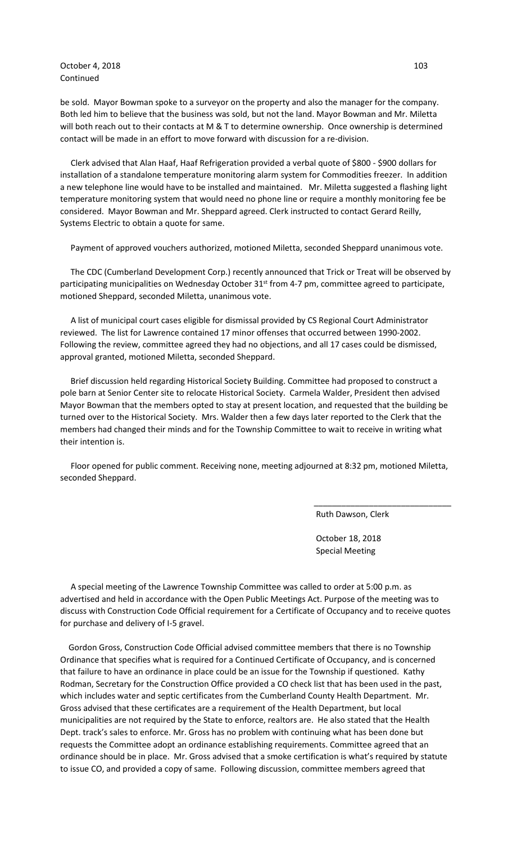October 4, 2018 103 Continued

be sold. Mayor Bowman spoke to a surveyor on the property and also the manager for the company. Both led him to believe that the business was sold, but not the land. Mayor Bowman and Mr. Miletta will both reach out to their contacts at M & T to determine ownership. Once ownership is determined contact will be made in an effort to move forward with discussion for a re-division.

 Clerk advised that Alan Haaf, Haaf Refrigeration provided a verbal quote of \$800 - \$900 dollars for installation of a standalone temperature monitoring alarm system for Commodities freezer. In addition a new telephone line would have to be installed and maintained. Mr. Miletta suggested a flashing light temperature monitoring system that would need no phone line or require a monthly monitoring fee be considered. Mayor Bowman and Mr. Sheppard agreed. Clerk instructed to contact Gerard Reilly, Systems Electric to obtain a quote for same.

Payment of approved vouchers authorized, motioned Miletta, seconded Sheppard unanimous vote.

 The CDC (Cumberland Development Corp.) recently announced that Trick or Treat will be observed by participating municipalities on Wednesday October 31<sup>st</sup> from 4-7 pm, committee agreed to participate, motioned Sheppard, seconded Miletta, unanimous vote.

 A list of municipal court cases eligible for dismissal provided by CS Regional Court Administrator reviewed. The list for Lawrence contained 17 minor offenses that occurred between 1990-2002. Following the review, committee agreed they had no objections, and all 17 cases could be dismissed, approval granted, motioned Miletta, seconded Sheppard.

 Brief discussion held regarding Historical Society Building. Committee had proposed to construct a pole barn at Senior Center site to relocate Historical Society. Carmela Walder, President then advised Mayor Bowman that the members opted to stay at present location, and requested that the building be turned over to the Historical Society. Mrs. Walder then a few days later reported to the Clerk that the members had changed their minds and for the Township Committee to wait to receive in writing what their intention is.

 Floor opened for public comment. Receiving none, meeting adjourned at 8:32 pm, motioned Miletta, seconded Sheppard.

 $\overline{\phantom{a}}$  , and the contract of the contract of the contract of the contract of the contract of the contract of the contract of the contract of the contract of the contract of the contract of the contract of the contrac

Ruth Dawson, Clerk

 October 18, 2018 Special Meeting

 A special meeting of the Lawrence Township Committee was called to order at 5:00 p.m. as advertised and held in accordance with the Open Public Meetings Act. Purpose of the meeting was to discuss with Construction Code Official requirement for a Certificate of Occupancy and to receive quotes for purchase and delivery of I-5 gravel.

 Gordon Gross, Construction Code Official advised committee members that there is no Township Ordinance that specifies what is required for a Continued Certificate of Occupancy, and is concerned that failure to have an ordinance in place could be an issue for the Township if questioned. Kathy Rodman, Secretary for the Construction Office provided a CO check list that has been used in the past, which includes water and septic certificates from the Cumberland County Health Department. Mr. Gross advised that these certificates are a requirement of the Health Department, but local municipalities are not required by the State to enforce, realtors are. He also stated that the Health Dept. track's sales to enforce. Mr. Gross has no problem with continuing what has been done but requests the Committee adopt an ordinance establishing requirements. Committee agreed that an ordinance should be in place. Mr. Gross advised that a smoke certification is what's required by statute to issue CO, and provided a copy of same. Following discussion, committee members agreed that